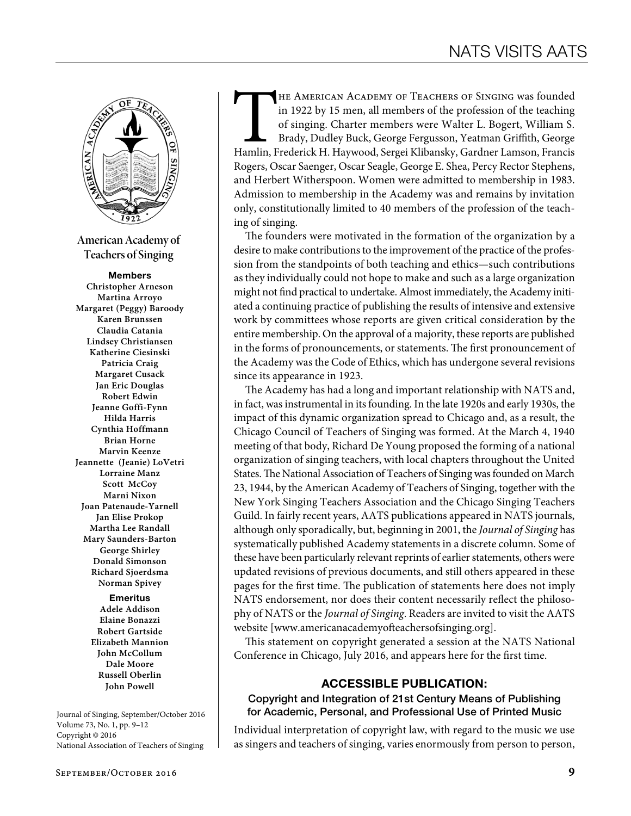

**American Academy of Teachers of Singing**

#### Members

**Christopher Arneson Martina Arroyo Margaret (Peggy) Baroody Karen Brunssen Claudia Catania Lindsey Christiansen Katherine Ciesinski Patricia Craig Margaret Cusack Jan Eric Douglas Robert Edwin Jeanne Goffi-Fynn Hilda Harris Cynthia Hoffmann Brian Horne Marvin Keenze Jeannette (Jeanie) LoVetri Lorraine Manz Scott McCoy Marni Nixon Joan Patenaude-Yarnell Jan Elise Prokop Martha Lee Randall Mary Saunders-Barton George Shirley Donald Simonson Richard Sjoerdsma Norman Spivey** Emeritus

**Adele Addison Elaine Bonazzi Robert Gartside Elizabeth Mannion John McCollum Dale Moore Russell Oberlin John Powell**

Journal of Singing, September/October 2016 Volume 73, No. 1, pp. 9–12 Copyright © 2016 National Association of Teachers of Singing

THE AMERICAN ACADEMY OF TEACHERS OF SINGING was founded in 1922 by 15 men, all members of the profession of the teaching of singing. Charter members were Walter L. Bogert, William S. Brady, Dudley Buck, George Fergusson, Y in 1922 by 15 men, all members of the profession of the teaching of singing. Charter members were Walter L. Bogert, William S. Brady, Dudley Buck, George Fergusson, Yeatman Griffith, George Rogers, Oscar Saenger, Oscar Seagle, George E. Shea, Percy Rector Stephens, and Herbert Witherspoon. Women were admitted to membership in 1983. Admission to membership in the Academy was and remains by invitation only, constitutionally limited to 40 members of the profession of the teaching of singing.

The founders were motivated in the formation of the organization by a desire to make contributions to the improvement of the practice of the profession from the standpoints of both teaching and ethics—such contributions as they individually could not hope to make and such as a large organization might not find practical to undertake. Almost immediately, the Academy initiated a continuing practice of publishing the results of intensive and extensive work by committees whose reports are given critical consideration by the entire membership. On the approval of a majority, these reports are published in the forms of pronouncements, or statements. The first pronouncement of the Academy was the Code of Ethics, which has undergone several revisions since its appearance in 1923.

The Academy has had a long and important relationship with NATS and, in fact, was instrumental in its founding. In the late 1920s and early 1930s, the impact of this dynamic organization spread to Chicago and, as a result, the Chicago Council of Teachers of Singing was formed. At the March 4, 1940 meeting of that body, Richard De Young proposed the forming of a national organization of singing teachers, with local chapters throughout the United States. The National Association of Teachers of Singing was founded on March 23, 1944, by the American Academy of Teachers of Singing, together with the New York Singing Teachers Association and the Chicago Singing Teachers Guild. In fairly recent years, AATS publications appeared in NATS journals, although only sporadically, but, beginning in 2001, the *Journal of Singing* has systematically published Academy statements in a discrete column. Some of these have been particularly relevant reprints of earlier statements, others were updated revisions of previous documents, and still others appeared in these pages for the first time. The publication of statements here does not imply NATS endorsement, nor does their content necessarily reflect the philosophy of NATS or the *Journal of Singing*. Readers are invited to visit the AATS website [www.americanacademyofteachersofsinging.org].

This statement on copyright generated a session at the NATS National Conference in Chicago, July 2016, and appears here for the first time.

### ACCESSIBLE PUBLICATION:

### Copyright and Integration of 21st Century Means of Publishing for Academic, Personal, and Professional Use of Printed Music

Individual interpretation of copyright law, with regard to the music we use as singers and teachers of singing, varies enormously from person to person,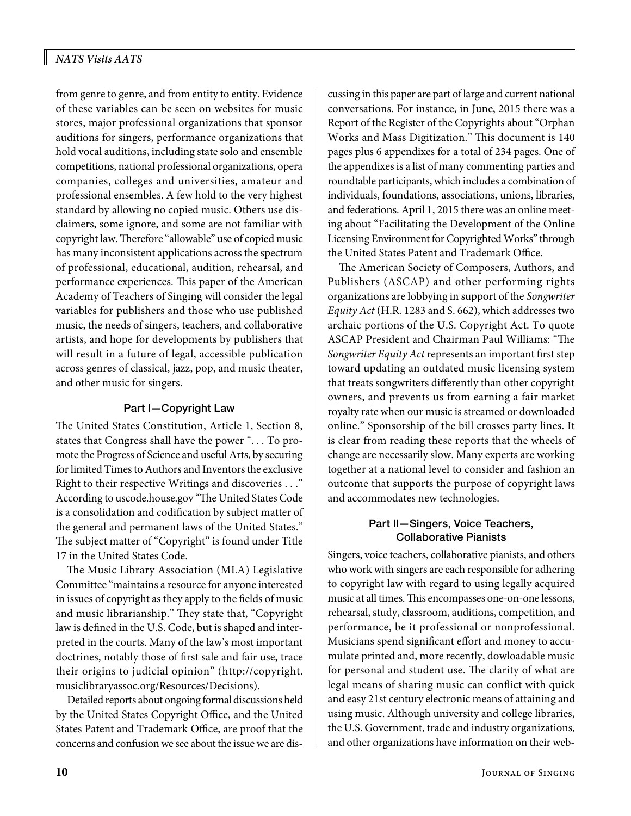# *NATS Visits AATS*

from genre to genre, and from entity to entity. Evidence of these variables can be seen on websites for music stores, major professional organizations that sponsor auditions for singers, performance organizations that hold vocal auditions, including state solo and ensemble competitions, national professional organizations, opera companies, colleges and universities, amateur and professional ensembles. A few hold to the very highest standard by allowing no copied music. Others use disclaimers, some ignore, and some are not familiar with copyright law. Therefore "allowable" use of copied music has many inconsistent applications across the spectrum of professional, educational, audition, rehearsal, and performance experiences. This paper of the American Academy of Teachers of Singing will consider the legal variables for publishers and those who use published music, the needs of singers, teachers, and collaborative artists, and hope for developments by publishers that will result in a future of legal, accessible publication across genres of classical, jazz, pop, and music theater, and other music for singers.

### Part I—Copyright Law

The United States Constitution, Article 1, Section 8, states that Congress shall have the power ". . . To promote the Progress of Science and useful Arts, by securing for limited Times to Authors and Inventors the exclusive Right to their respective Writings and discoveries . . ." According to [uscode.house.gov](http://uscode.house.gov/) "The United States Code is a consolidation and codification by subject matter of the general and permanent laws of the United States." The subject matter of "Copyright" is found under Title 17 in the United States Code.

The Music Library Association (MLA) Legislative Committee "maintains a resource for anyone interested in issues of copyright as they apply to the fields of music and music librarianship." They state that, "Copyright law is defined in the U.S. Code, but is shaped and interpreted in the courts. Many of the law's most important doctrines, notably those of first sale and fair use, trace their origins to judicial opinion" ([http://copyright.](http://copyright.musiclibraryassoc.org/Resources/Decisions) [musiclibraryassoc.org/Resources/Decisions](http://copyright.musiclibraryassoc.org/Resources/Decisions)).

Detailed reports about ongoing formal discussions held by the United States Copyright Office, and the United States Patent and Trademark Office, are proof that the concerns and confusion we see about the issue we are discussing in this paper are part of large and current national conversations. For instance, in June, 2015 there was a Report of the Register of the Copyrights about "Orphan Works and Mass Digitization." This document is 140 pages plus 6 appendixes for a total of 234 pages. One of the appendixes is a list of many commenting parties and roundtable participants, which includes a combination of individuals, foundations, associations, unions, libraries, and federations. April 1, 2015 there was an online meeting about "Facilitating the Development of the Online Licensing Environment for Copyrighted Works" through the United States Patent and Trademark Office.

The American Society of Composers, Authors, and Publishers (ASCAP) and other performing rights organizations are lobbying in support of the *Songwriter Equity Act* (H.R. 1283 and S. 662), which addresses two archaic portions of the U.S. Copyright Act. To quote ASCAP President and Chairman Paul Williams: "The *Songwriter Equity Act* represents an important first step toward updating an outdated music licensing system that treats songwriters differently than other copyright owners, and prevents us from earning a fair market royalty rate when our music is streamed or downloaded online." Sponsorship of the bill crosses party lines. It is clear from reading these reports that the wheels of change are necessarily slow. Many experts are working together at a national level to consider and fashion an outcome that supports the purpose of copyright laws and accommodates new technologies.

## Part II—Singers, Voice Teachers, Collaborative Pianists

Singers, voice teachers, collaborative pianists, and others who work with singers are each responsible for adhering to copyright law with regard to using legally acquired music at all times. This encompasses one-on-one lessons, rehearsal, study, classroom, auditions, competition, and performance, be it professional or nonprofessional. Musicians spend significant effort and money to accumulate printed and, more recently, dowloadable music for personal and student use. The clarity of what are legal means of sharing music can conflict with quick and easy 21st century electronic means of attaining and using music. Although university and college libraries, the U.S. Government, trade and industry organizations, and other organizations have information on their web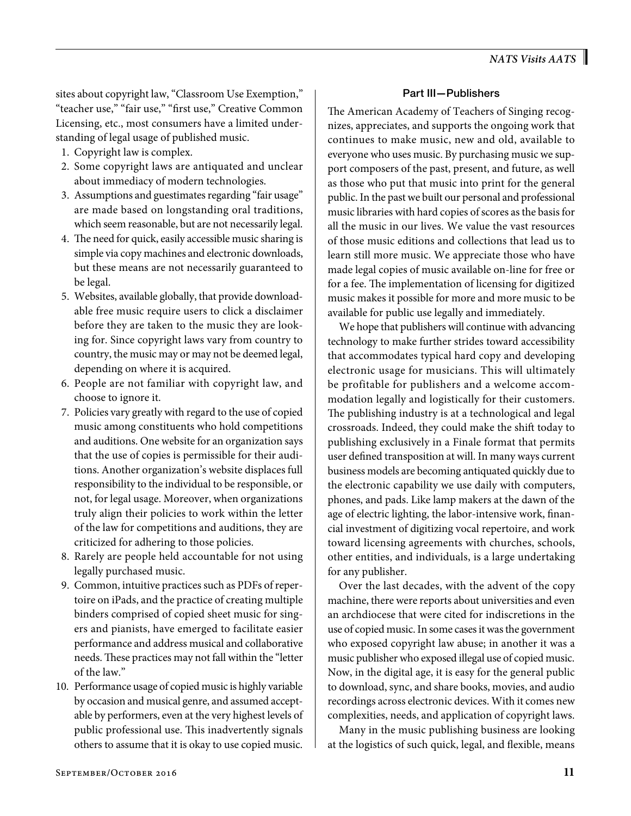sites about copyright law, "Classroom Use Exemption," "teacher use," "fair use," "first use," Creative Common Licensing, etc., most consumers have a limited understanding of legal usage of published music.

- 1. Copyright law is complex.
- 2. Some copyright laws are antiquated and unclear about immediacy of modern technologies.
- 3. Assumptions and guestimates regarding "fair usage" are made based on longstanding oral traditions, which seem reasonable, but are not necessarily legal.
- 4. The need for quick, easily accessible music sharing is simple via copy machines and electronic downloads, but these means are not necessarily guaranteed to be legal.
- 5. Websites, available globally, that provide downloadable free music require users to click a disclaimer before they are taken to the music they are looking for. Since copyright laws vary from country to country, the music may or may not be deemed legal, depending on where it is acquired.
- 6. People are not familiar with copyright law, and choose to ignore it.
- 7. Policies vary greatly with regard to the use of copied music among constituents who hold competitions and auditions. One website for an organization says that the use of copies is permissible for their auditions. Another organization's website displaces full responsibility to the individual to be responsible, or not, for legal usage. Moreover, when organizations truly align their policies to work within the letter of the law for competitions and auditions, they are criticized for adhering to those policies.
- 8. Rarely are people held accountable for not using legally purchased music.
- 9. Common, intuitive practices such as PDFs of repertoire on iPads, and the practice of creating multiple binders comprised of copied sheet music for singers and pianists, have emerged to facilitate easier performance and address musical and collaborative needs. These practices may not fall within the "letter of the law."
- 10. Performance usage of copied music is highly variable by occasion and musical genre, and assumed acceptable by performers, even at the very highest levels of public professional use. This inadvertently signals others to assume that it is okay to use copied music.

## Part III—Publishers

The American Academy of Teachers of Singing recognizes, appreciates, and supports the ongoing work that continues to make music, new and old, available to everyone who uses music. By purchasing music we support composers of the past, present, and future, as well as those who put that music into print for the general public. In the past we built our personal and professional music libraries with hard copies of scores as the basis for all the music in our lives. We value the vast resources of those music editions and collections that lead us to learn still more music. We appreciate those who have made legal copies of music available on-line for free or for a fee. The implementation of licensing for digitized music makes it possible for more and more music to be available for public use legally and immediately.

We hope that publishers will continue with advancing technology to make further strides toward accessibility that accommodates typical hard copy and developing electronic usage for musicians. This will ultimately be profitable for publishers and a welcome accommodation legally and logistically for their customers. The publishing industry is at a technological and legal crossroads. Indeed, they could make the shift today to publishing exclusively in a Finale format that permits user defined transposition at will. In many ways current business models are becoming antiquated quickly due to the electronic capability we use daily with computers, phones, and pads. Like lamp makers at the dawn of the age of electric lighting, the labor-intensive work, financial investment of digitizing vocal repertoire, and work toward licensing agreements with churches, schools, other entities, and individuals, is a large undertaking for any publisher.

Over the last decades, with the advent of the copy machine, there were reports about universities and even an archdiocese that were cited for indiscretions in the use of copied music. In some cases it was the government who exposed copyright law abuse; in another it was a music publisher who exposed illegal use of copied music. Now, in the digital age, it is easy for the general public to download, sync, and share books, movies, and audio recordings across electronic devices. With it comes new complexities, needs, and application of copyright laws.

Many in the music publishing business are looking at the logistics of such quick, legal, and flexible, means